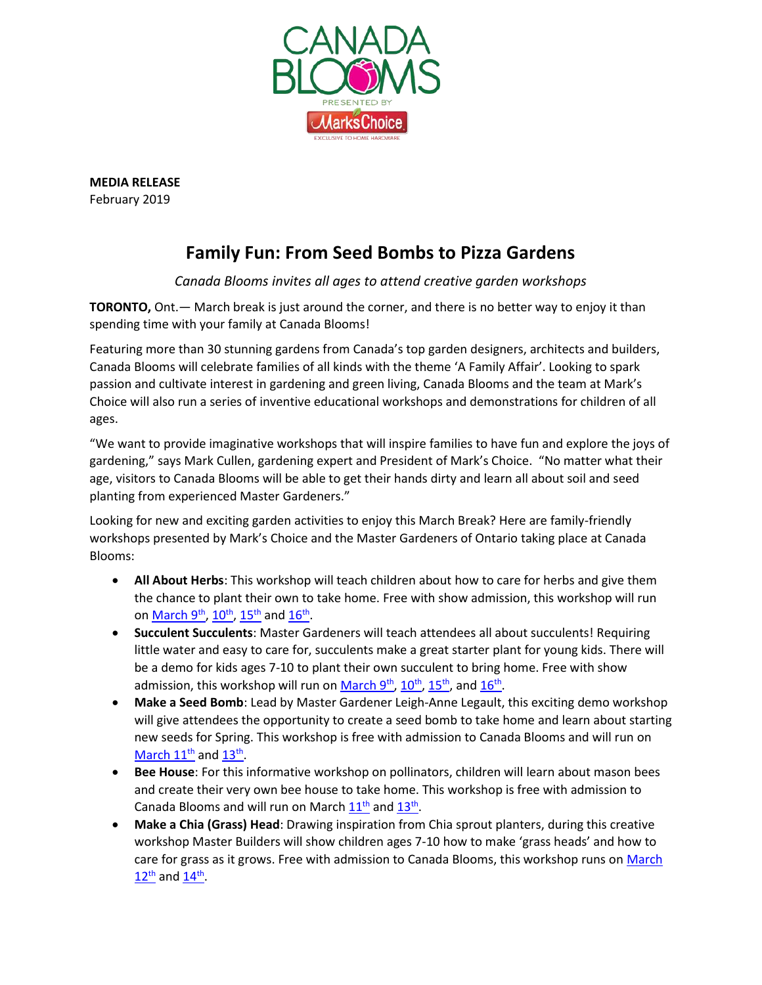

**MEDIA RELEASE** February 2019

## **Family Fun: From Seed Bombs to Pizza Gardens**

## *Canada Blooms invites all ages to attend creative garden workshops*

**TORONTO,** Ont.— March break is just around the corner, and there is no better way to enjoy it than spending time with your family at Canada Blooms!

Featuring more than 30 stunning gardens from Canada's top garden designers, architects and builders, Canada Blooms will celebrate families of all kinds with the theme 'A Family Affair'. Looking to spark passion and cultivate interest in gardening and green living, Canada Blooms and the team at Mark's Choice will also run a series of inventive educational workshops and demonstrations for children of all ages.

"We want to provide imaginative workshops that will inspire families to have fun and explore the joys of gardening," says Mark Cullen, gardening expert and President of Mark's Choice. "No matter what their age, visitors to Canada Blooms will be able to get their hands dirty and learn all about soil and seed planting from experienced Master Gardeners."

Looking for new and exciting garden activities to enjoy this March Break? Here are family-friendly workshops presented by Mark's Choice and the Master Gardeners of Ontario taking place at Canada Blooms:

- **All About Herbs**: This workshop will teach children about how to care for herbs and give them the chance to plant their own to take home. Free with show admission, this workshop will run on <u>March 9<sup>th</sup>, [10](https://canadablooms.com/event/pollinators/)<sup>th</sup>[, 15](https://canadablooms.com/event/lil-sprouts-workshop-all-about-pollinators/)<sup>th</sup></u> and <u>16<sup>th</sup></u>.
- **Succulent Succulents**: Master Gardeners will teach attendees all about succulents! Requiring little water and easy to care for, succulents make a great starter plant for young kids. There will be a demo for kids ages 7-10 to plant their own succulent to bring home. Free with show admission, this workshop will run on <u>March 9<sup>th</sup>, [10](https://canadablooms.com/event/succulent-succulents-lil-sprouts-workshop/)<sup>th</sup>, [15](https://canadablooms.com/event/lil-sprouts-workshop-succulent-succulents/)<sup>th</sup>, and [16](https://canadablooms.com/event/lil-sprouts-workshop-succulent-succulents-2/)<sup>th</sup>.</u>
- **Make a Seed Bomb**: Lead by Master Gardener Leigh-Anne Legault, this exciting demo workshop will give attendees the opportunity to create a seed bomb to take home and learn about starting new seeds for Spring. This workshop is free with admission to Canada Blooms and will run on March  $11^{\text{th}}$  and  $13^{\text{th}}$ .
- **Bee House**: For this informative workshop on pollinators, children will learn about mason bees and create their very own bee house to take home. This workshop is free with admission to Canada Blooms and will run on March  $11<sup>th</sup>$  and  $13<sup>th</sup>$ .
- **Make a Chia (Grass) Head**: Drawing inspiration from Chia sprout planters, during this creative workshop Master Builders will show children ages 7-10 how to make 'grass heads' and how to care for grass as it grows. Free with admission to Canada Blooms, this workshop runs on March  $12^{\text{th}}$  $12^{\text{th}}$  and  $14^{\text{th}}$ .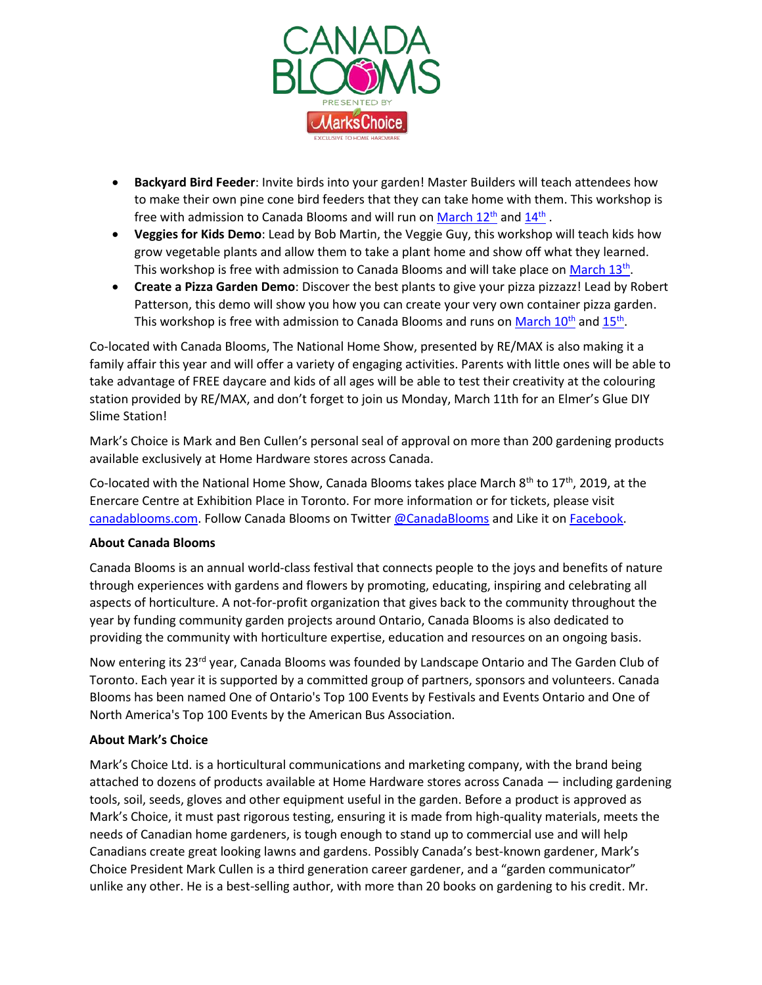

- **Backyard Bird Feeder**: Invite birds into your garden! Master Builders will teach attendees how to make their own pine cone bird feeders that they can take home with them. This workshop is free with admission to Canada Blooms and will run on <u>March 12th</u> and  $\underline{14^\text{th}}$  .
- **Veggies for Kids Demo**: Lead by Bob Martin, the Veggie Guy, this workshop will teach kids how grow vegetable plants and allow them to take a plant home and show off what they learned. This workshop is free with admission to Canada Blooms and will take place o[n March 13](https://canadablooms.com/event/veggies-for-kids/)<sup>th</sup>.
- **Create a Pizza Garden Demo**: Discover the best plants to give your pizza pizzazz! Lead by Robert Patterson, this demo will show you how you can create your very own container pizza garden. This workshop is free with admission to Canada Blooms and runs on <u>March 10<sup>th</sup></u> and <u>15<sup>th</sup></u>.

Co-located with Canada Blooms, The National Home Show, presented by RE/MAX is also making it a family affair this year and will offer a variety of engaging activities. Parents with little ones will be able to take advantage of FREE daycare and kids of all ages will be able to test their creativity at the colouring station provided by RE/MAX, and don't forget to join us Monday, March 11th for an Elmer's Glue DIY Slime Station!

Mark's Choice is Mark and Ben Cullen's personal seal of approval on more than 200 gardening products available exclusively at Home Hardware stores across Canada.

Co-located with the National Home Show, Canada Blooms takes place March  $8^{th}$  to 17<sup>th</sup>, 2019, at the Enercare Centre at Exhibition Place in Toronto. For more information or for tickets, please visit [canadablooms.com.](http://www.canadablooms.com/) Follow Canada Blooms on Twitte[r @CanadaBlooms](http://www.twitter.com/canadablooms) and Like it o[n Facebook.](http://www.facebook.com/canadablooms)

## **About Canada Blooms**

Canada Blooms is an annual world-class festival that connects people to the joys and benefits of nature through experiences with gardens and flowers by promoting, educating, inspiring and celebrating all aspects of horticulture. A not-for-profit organization that gives back to the community throughout the year by funding community garden projects around Ontario, Canada Blooms is also dedicated to providing the community with horticulture expertise, education and resources on an ongoing basis.

Now entering its 23<sup>rd</sup> year, Canada Blooms was founded by Landscape Ontario and The Garden Club of Toronto. Each year it is supported by a committed group of partners, sponsors and volunteers. Canada Blooms has been named One of Ontario's Top 100 Events by Festivals and Events Ontario and One of North America's Top 100 Events by the American Bus Association.

## **About Mark's Choice**

Mark's Choice Ltd. is a horticultural communications and marketing company, with the brand being attached to dozens of products available at Home Hardware stores across Canada — including gardening tools, soil, seeds, gloves and other equipment useful in the garden. Before a product is approved as Mark's Choice, it must past rigorous testing, ensuring it is made from high-quality materials, meets the needs of Canadian home gardeners, is tough enough to stand up to commercial use and will help Canadians create great looking lawns and gardens. Possibly Canada's best-known gardener, Mark's Choice President Mark Cullen is a third generation career gardener, and a "garden communicator" unlike any other. He is a best-selling author, with more than 20 books on gardening to his credit. Mr.